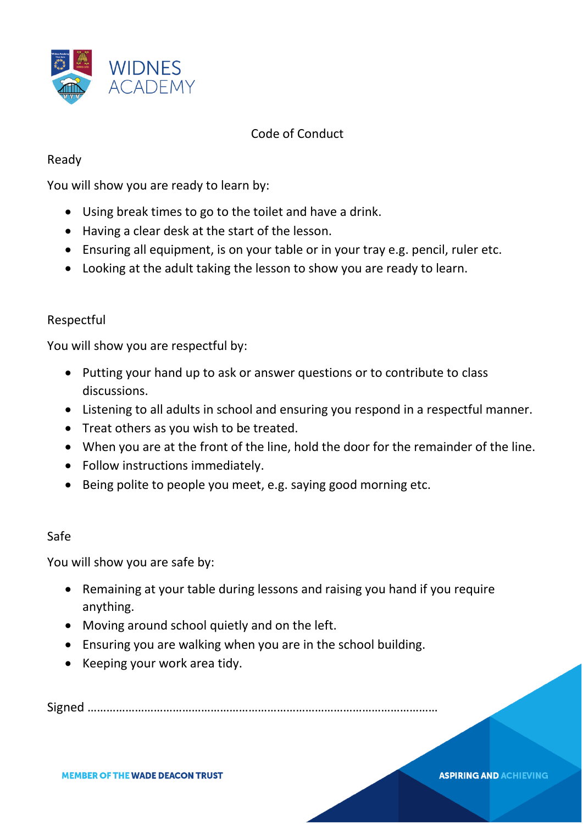

## Code of Conduct

## Ready

You will show you are ready to learn by:

- Using break times to go to the toilet and have a drink.
- Having a clear desk at the start of the lesson.
- Ensuring all equipment, is on your table or in your tray e.g. pencil, ruler etc.
- Looking at the adult taking the lesson to show you are ready to learn.

## Respectful

You will show you are respectful by:

- Putting your hand up to ask or answer questions or to contribute to class discussions.
- Listening to all adults in school and ensuring you respond in a respectful manner.
- Treat others as you wish to be treated.
- When you are at the front of the line, hold the door for the remainder of the line.
- Follow instructions immediately.
- Being polite to people you meet, e.g. saying good morning etc.

## Safe

You will show you are safe by:

• Remaining at your table during lessons and raising you hand if you require anything.

**ASPIRING AND ACHIEVING** 

- Moving around school quietly and on the left.
- Ensuring you are walking when you are in the school building.
- Keeping your work area tidy.

Signed …………………………………………………………………………………………………

**MEMBER OF THE WADE DEACON TRUST**